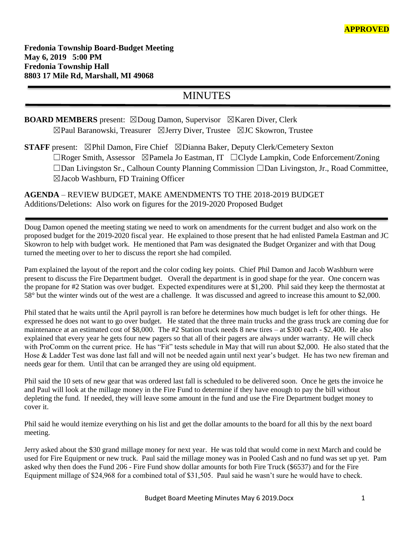# MINUTES

# **BOARD MEMBERS** present: ⊠Doug Damon, Supervisor ⊠Karen Diver, Clerk ☒Paul Baranowski, Treasurer ☒Jerry Diver, Trustee ☒JC Skowron, Trustee

**STAFF** present: ⊠Phil Damon, Fire Chief ⊠Dianna Baker, Deputy Clerk/Cemetery Sexton ☐Roger Smith, Assessor ☒Pamela Jo Eastman, IT ☐Clyde Lampkin, Code Enforcement/Zoning ☐Dan Livingston Sr., Calhoun County Planning Commission ☐Dan Livingston, Jr., Road Committee, ☒Jacob Washburn, FD Training Officer

**AGENDA** – REVIEW BUDGET, MAKE AMENDMENTS TO THE 2018-2019 BUDGET Additions/Deletions: Also work on figures for the 2019-2020 Proposed Budget

Doug Damon opened the meeting stating we need to work on amendments for the current budget and also work on the proposed budget for the 2019-2020 fiscal year. He explained to those present that he had enlisted Pamela Eastman and JC Skowron to help with budget work. He mentioned that Pam was designated the Budget Organizer and with that Doug turned the meeting over to her to discuss the report she had compiled.

Pam explained the layout of the report and the color coding key points. Chief Phil Damon and Jacob Washburn were present to discuss the Fire Department budget. Overall the department is in good shape for the year. One concern was the propane for #2 Station was over budget. Expected expenditures were at \$1,200. Phil said they keep the thermostat at 58° but the winter winds out of the west are a challenge. It was discussed and agreed to increase this amount to \$2,000.

Phil stated that he waits until the April payroll is ran before he determines how much budget is left for other things. He expressed he does not want to go over budget. He stated that the three main trucks and the grass truck are coming due for maintenance at an estimated cost of \$8,000. The #2 Station truck needs 8 new tires – at \$300 each - \$2,400. He also explained that every year he gets four new pagers so that all of their pagers are always under warranty. He will check with ProComm on the current price. He has "Fit" tests schedule in May that will run about \$2,000. He also stated that the Hose & Ladder Test was done last fall and will not be needed again until next year's budget. He has two new fireman and needs gear for them. Until that can be arranged they are using old equipment.

Phil said the 10 sets of new gear that was ordered last fall is scheduled to be delivered soon. Once he gets the invoice he and Paul will look at the millage money in the Fire Fund to determine if they have enough to pay the bill without depleting the fund. If needed, they will leave some amount in the fund and use the Fire Department budget money to cover it.

Phil said he would itemize everything on his list and get the dollar amounts to the board for all this by the next board meeting.

Jerry asked about the \$30 grand millage money for next year. He was told that would come in next March and could be used for Fire Equipment or new truck. Paul said the millage money was in Pooled Cash and no fund was set up yet. Pam asked why then does the Fund 206 - Fire Fund show dollar amounts for both Fire Truck (\$6537) and for the Fire Equipment millage of \$24,968 for a combined total of \$31,505. Paul said he wasn't sure he would have to check.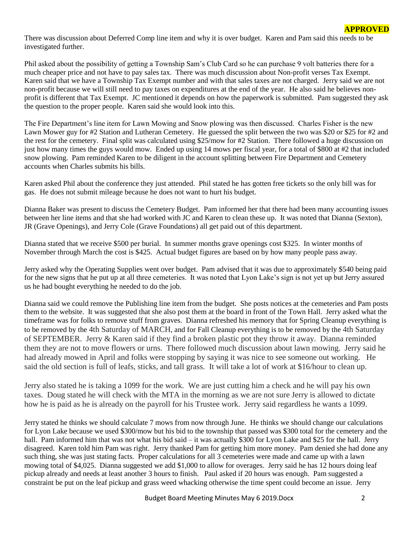There was discussion about Deferred Comp line item and why it is over budget. Karen and Pam said this needs to be investigated further.

Phil asked about the possibility of getting a Township Sam's Club Card so he can purchase 9 volt batteries there for a much cheaper price and not have to pay sales tax. There was much discussion about Non-profit verses Tax Exempt. Karen said that we have a Township Tax Exempt number and with that sales taxes are not charged. Jerry said we are not non-profit because we will still need to pay taxes on expenditures at the end of the year. He also said he believes nonprofit is different that Tax Exempt. JC mentioned it depends on how the paperwork is submitted. Pam suggested they ask the question to the proper people. Karen said she would look into this.

The Fire Department's line item for Lawn Mowing and Snow plowing was then discussed. Charles Fisher is the new Lawn Mower guy for #2 Station and Lutheran Cemetery. He guessed the split between the two was \$20 or \$25 for #2 and the rest for the cemetery. Final split was calculated using \$25/mow for #2 Station. There followed a huge discussion on just how many times the guys would mow. Ended up using 14 mows per fiscal year, for a total of \$800 at #2 that included snow plowing. Pam reminded Karen to be diligent in the account splitting between Fire Department and Cemetery accounts when Charles submits his bills.

Karen asked Phil about the conference they just attended. Phil stated he has gotten free tickets so the only bill was for gas. He does not submit mileage because he does not want to hurt his budget.

Dianna Baker was present to discuss the Cemetery Budget. Pam informed her that there had been many accounting issues between her line items and that she had worked with JC and Karen to clean these up. It was noted that Dianna (Sexton), JR (Grave Openings), and Jerry Cole (Grave Foundations) all get paid out of this department.

Dianna stated that we receive \$500 per burial. In summer months grave openings cost \$325. In winter months of November through March the cost is \$425. Actual budget figures are based on by how many people pass away.

Jerry asked why the Operating Supplies went over budget. Pam advised that it was due to approximately \$540 being paid for the new signs that he put up at all three cemeteries. It was noted that Lyon Lake's sign is not yet up but Jerry assured us he had bought everything he needed to do the job.

Dianna said we could remove the Publishing line item from the budget. She posts notices at the cemeteries and Pam posts them to the website. It was suggested that she also post them at the board in front of the Town Hall. Jerry asked what the timeframe was for folks to remove stuff from graves. Dianna refreshed his memory that for Spring Cleanup everything is to be removed by the 4th Saturday of MARCH, and for Fall Cleanup everything is to be removed by the 4th Saturday of SEPTEMBER. Jerry & Karen said if they find a broken plastic pot they throw it away. Dianna reminded them they are not to move flowers or urns. There followed much discussion about lawn mowing. Jerry said he had already mowed in April and folks were stopping by saying it was nice to see someone out working. He said the old section is full of leafs, sticks, and tall grass. It will take a lot of work at \$16/hour to clean up.

Jerry also stated he is taking a 1099 for the work. We are just cutting him a check and he will pay his own taxes. Doug stated he will check with the MTA in the morning as we are not sure Jerry is allowed to dictate how he is paid as he is already on the payroll for his Trustee work. Jerry said regardless he wants a 1099.

Jerry stated he thinks we should calculate 7 mows from now through June. He thinks we should change our calculations for Lyon Lake because we used \$300/mow but his bid to the township that passed was \$300 total for the cemetery and the hall. Pam informed him that was not what his bid said – it was actually \$300 for Lyon Lake and \$25 for the hall. Jerry disagreed. Karen told him Pam was right. Jerry thanked Pam for getting him more money. Pam denied she had done any such thing, she was just stating facts. Proper calculations for all 3 cemeteries were made and came up with a lawn mowing total of \$4,025. Dianna suggested we add \$1,000 to allow for overages. Jerry said he has 12 hours doing leaf pickup already and needs at least another 3 hours to finish. Paul asked if 20 hours was enough. Pam suggested a constraint be put on the leaf pickup and grass weed whacking otherwise the time spent could become an issue. Jerry

**APPROVED**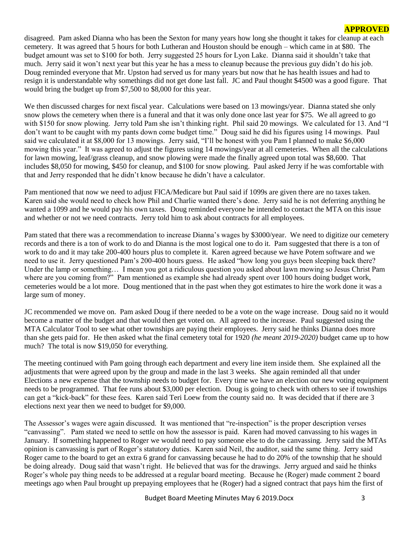disagreed. Pam asked Dianna who has been the Sexton for many years how long she thought it takes for cleanup at each cemetery. It was agreed that 5 hours for both Lutheran and Houston should be enough – which came in at \$80. The budget amount was set to \$100 for both. Jerry suggested 25 hours for Lyon Lake. Dianna said it shouldn't take that much. Jerry said it won't next year but this year he has a mess to cleanup because the previous guy didn't do his job. Doug reminded everyone that Mr. Upston had served us for many years but now that he has health issues and had to resign it is understandable why somethings did not get done last fall. JC and Paul thought \$4500 was a good figure. That would bring the budget up from \$7,500 to \$8,000 for this year.

We then discussed charges for next fiscal year. Calculations were based on 13 mowings/year. Dianna stated she only snow plows the cemetery when there is a funeral and that it was only done once last year for \$75. We all agreed to go with \$150 for snow plowing. Jerry told Pam she isn't thinking right. Phil said 20 mowings. We calculated for 13. And "I don't want to be caught with my pants down come budget time." Doug said he did his figures using 14 mowings. Paul said we calculated it at \$8,000 for 13 mowings. Jerry said, "I'll be honest with you Pam I planned to make \$6,000 mowing this year." It was agreed to adjust the figures using 14 mowings/year at all cemeteries. When all the calculations for lawn mowing, leaf/grass cleanup, and snow plowing were made the finally agreed upon total was \$8,600. That includes \$8,050 for mowing, \$450 for cleanup, and \$100 for snow plowing. Paul asked Jerry if he was comfortable with that and Jerry responded that he didn't know because he didn't have a calculator.

Pam mentioned that now we need to adjust FICA/Medicare but Paul said if 1099s are given there are no taxes taken. Karen said she would need to check how Phil and Charlie wanted there's done. Jerry said he is not deferring anything he wanted a 1099 and he would pay his own taxes. Doug reminded everyone he intended to contact the MTA on this issue and whether or not we need contracts. Jerry told him to ask about contracts for all employees.

Pam stated that there was a recommendation to increase Dianna's wages by \$3000/year. We need to digitize our cemetery records and there is a ton of work to do and Dianna is the most logical one to do it. Pam suggested that there is a ton of work to do and it may take 200-400 hours plus to complete it. Karen agreed because we have Potem software and we need to use it. Jerry questioned Pam's 200-400 hours guess. He asked "how long you guys been sleeping back there? Under the lamp or something... I mean you got a ridiculous question you asked about lawn mowing so Jesus Christ Pam where are you coming from?" Pam mentioned as example she had already spent over 100 hours doing budget work, cemeteries would be a lot more. Doug mentioned that in the past when they got estimates to hire the work done it was a large sum of money.

JC recommended we move on. Pam asked Doug if there needed to be a vote on the wage increase. Doug said no it would become a matter of the budget and that would then get voted on. All agreed to the increase. Paul suggested using the MTA Calculator Tool to see what other townships are paying their employees. Jerry said he thinks Dianna does more than she gets paid for. He then asked what the final cemetery total for 1920 *(he meant 2019-2020)* budget came up to how much? The total is now \$19,050 for everything.

The meeting continued with Pam going through each department and every line item inside them. She explained all the adjustments that were agreed upon by the group and made in the last 3 weeks. She again reminded all that under Elections a new expense that the township needs to budget for. Every time we have an election our new voting equipment needs to be programmed. That fee runs about \$3,000 per election. Doug is going to check with others to see if townships can get a "kick-back" for these fees. Karen said Teri Loew from the county said no. It was decided that if there are 3 elections next year then we need to budget for \$9,000.

The Assessor's wages were again discussed. It was mentioned that "re-inspection" is the proper description verses "canvassing". Pam stated we need to settle on how the assessor is paid. Karen had moved canvassing to his wages in January. If something happened to Roger we would need to pay someone else to do the canvassing. Jerry said the MTAs opinion is canvassing is part of Roger's statutory duties. Karen said Neil, the auditor, said the same thing. Jerry said Roger came to the board to get an extra 6 grand for canvassing because he had to do 20% of the township that he should be doing already. Doug said that wasn't right. He believed that was for the drawings. Jerry argued and said he thinks Roger's whole pay thing needs to be addressed at a regular board meeting. Because he (Roger) made comment 2 board meetings ago when Paul brought up prepaying employees that he (Roger) had a signed contract that pays him the first of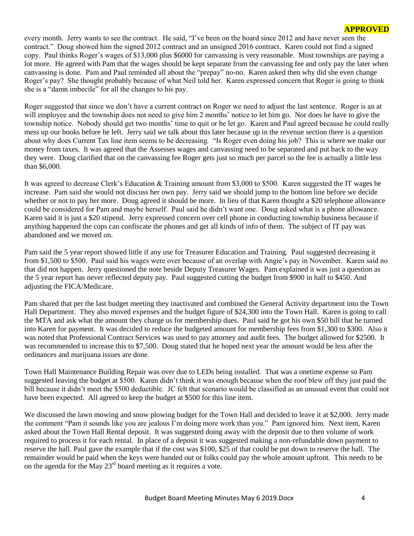every month. Jerry wants to see the contract. He said, "I've been on the board since 2012 and have never seen the contract." Doug showed him the signed 2012 contract and an unsigned 2016 contract. Karen could not find a signed copy. Paul thinks Roger's wages of \$13,000 plus \$6000 for canvassing is very reasonable. Most townships are paying a lot more. He agreed with Pam that the wages should be kept separate from the canvassing fee and only pay the later when canvassing is done. Pam and Paul reminded all about the "prepay" no-no. Karen asked then why did she even change Roger's pay? She thought probably because of what Neil told her. Karen expressed concern that Roger is going to think she is a "damn imbecile" for all the changes to his pay.

Roger suggested that since we don't have a current contract on Roger we need to adjust the last sentence. Roger is an at will employee and the township does not need to give him 2 months' notice to let him go. Nor does he have to give the township notice. Nobody should get two months' time to quit or be let go. Karen and Paul agreed because he could really mess up our books before he left. Jerry said we talk about this later because up in the revenue section there is a question about why does Current Tax line item seems to be decreasing. "Is Roger even doing his job? This is where we make our money from taxes. It was agreed that the Assesses wages and canvassing need to be separated and put back to the way they were. Doug clarified that on the canvassing fee Roger gets just so much per parcel so the fee is actually a little less than \$6,000.

It was agreed to decrease Clerk's Education & Training amount from \$3,000 to \$500. Karen suggested the IT wages be increase. Pam said she would not discuss her own pay. Jerry said we should jump to the bottom line before we decide whether or not to pay her more. Doug agreed it should be more. In lieu of that Karen thought a \$20 telephone allowance could be considered for Pam and maybe herself. Paul said he didn't want one. Doug asked what is a phone allowance. Karen said it is just a \$20 stipend. Jerry expressed concern over cell phone in conducting township business because if anything happened the cops can confiscate the phones and get all kinds of info of them. The subject of IT pay was abandoned and we moved on.

Pam said the 5 year report showed little if any use for Treasurer Education and Training. Paul suggested decreasing it from \$1,500 to \$500. Paul said his wages were over because of an overlap with Angie's pay in November. Karen said no that did not happen. Jerry questioned the note beside Deputy Treasurer Wages. Pam explained it was just a question as the 5 year report has never reflected deputy pay. Paul suggested cutting the budget from \$900 in half to \$450. And adjusting the FICA/Medicare.

Pam shared that per the last budget meeting they inactivated and combined the General Activity department into the Town Hall Department. They also moved expenses and the budget figure of \$24,300 into the Town Hall. Karen is going to call the MTA and ask what the amount they charge us for membership dues. Paul said he got his own \$50 bill that he turned into Karen for payment. It was decided to reduce the budgeted amount for membership fees from \$1,300 to \$300. Also it was noted that Professional Contract Services was used to pay attorney and audit fees. The budget allowed for \$2500. It was recommended to increase this to \$7,500. Doug stated that he hoped next year the amount would be less after the ordinances and marijuana issues are done.

Town Hall Maintenance Building Repair was over due to LEDs being installed. That was a onetime expense so Pam suggested leaving the budget at \$500. Karen didn't think it was enough because when the roof blew off they just paid the bill because it didn't meet the \$500 deductible. JC felt that scenario would be classified as an unusual event that could not have been expected. All agreed to keep the budget at \$500 for this line item.

We discussed the lawn mowing and snow plowing budget for the Town Hall and decided to leave it at \$2,000. Jerry made the comment "Pam it sounds like you are jealous I'm doing more work than you." Pam ignored him. Next item, Karen asked about the Town Hall Rental deposit. It was suggested doing away with the deposit due to then volume of work required to process it for each rental. In place of a deposit it was suggested making a non-refundable down payment to reserve the hall. Paul gave the example that if the cost was \$100, \$25 of that could be put down to reserve the hall. The remainder would be paid when the keys were handed out or folks could pay the whole amount upfront. This needs to be on the agenda for the May  $23<sup>rd</sup>$  board meeting as it requires a vote.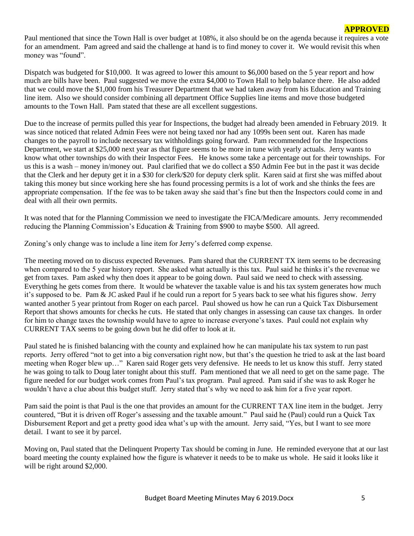Paul mentioned that since the Town Hall is over budget at 108%, it also should be on the agenda because it requires a vote for an amendment. Pam agreed and said the challenge at hand is to find money to cover it. We would revisit this when money was "found".

Dispatch was budgeted for \$10,000. It was agreed to lower this amount to \$6,000 based on the 5 year report and how much are bills have been. Paul suggested we move the extra \$4,000 to Town Hall to help balance there. He also added that we could move the \$1,000 from his Treasurer Department that we had taken away from his Education and Training line item. Also we should consider combining all department Office Supplies line items and move those budgeted amounts to the Town Hall. Pam stated that these are all excellent suggestions.

Due to the increase of permits pulled this year for Inspections, the budget had already been amended in February 2019. It was since noticed that related Admin Fees were not being taxed nor had any 1099s been sent out. Karen has made changes to the payroll to include necessary tax withholdings going forward. Pam recommended for the Inspections Department, we start at \$25,000 next year as that figure seems to be more in tune with yearly actuals. Jerry wants to know what other townships do with their Inspector Fees. He knows some take a percentage out for their townships. For us this is a wash – money in/money out. Paul clarified that we do collect a \$50 Admin Fee but in the past it was decide that the Clerk and her deputy get it in a \$30 for clerk/\$20 for deputy clerk split. Karen said at first she was miffed about taking this money but since working here she has found processing permits is a lot of work and she thinks the fees are appropriate compensation. If the fee was to be taken away she said that's fine but then the Inspectors could come in and deal with all their own permits.

It was noted that for the Planning Commission we need to investigate the FICA/Medicare amounts. Jerry recommended reducing the Planning Commission's Education & Training from \$900 to maybe \$500. All agreed.

Zoning's only change was to include a line item for Jerry's deferred comp expense.

The meeting moved on to discuss expected Revenues. Pam shared that the CURRENT TX item seems to be decreasing when compared to the 5 year history report. She asked what actually is this tax. Paul said he thinks it's the revenue we get from taxes. Pam asked why then does it appear to be going down. Paul said we need to check with assessing. Everything he gets comes from there. It would be whatever the taxable value is and his tax system generates how much it's supposed to be. Pam & JC asked Paul if he could run a report for 5 years back to see what his figures show. Jerry wanted another 5 year printout from Roger on each parcel. Paul showed us how he can run a Quick Tax Disbursement Report that shows amounts for checks he cuts. He stated that only changes in assessing can cause tax changes. In order for him to change taxes the township would have to agree to increase everyone's taxes. Paul could not explain why CURRENT TAX seems to be going down but he did offer to look at it.

Paul stated he is finished balancing with the county and explained how he can manipulate his tax system to run past reports. Jerry offered "not to get into a big conversation right now, but that's the question he tried to ask at the last board meeting when Roger blew up…" Karen said Roger gets very defensive. He needs to let us know this stuff. Jerry stated he was going to talk to Doug later tonight about this stuff. Pam mentioned that we all need to get on the same page. The figure needed for our budget work comes from Paul's tax program. Paul agreed. Pam said if she was to ask Roger he wouldn't have a clue about this budget stuff. Jerry stated that's why we need to ask him for a five year report.

Pam said the point is that Paul is the one that provides an amount for the CURRENT TAX line item in the budget. Jerry countered, "But it is driven off Roger's assessing and the taxable amount." Paul said he (Paul) could run a Quick Tax Disbursement Report and get a pretty good idea what's up with the amount. Jerry said, "Yes, but I want to see more detail. I want to see it by parcel.

Moving on, Paul stated that the Delinquent Property Tax should be coming in June. He reminded everyone that at our last board meeting the county explained how the figure is whatever it needs to be to make us whole. He said it looks like it will be right around \$2,000.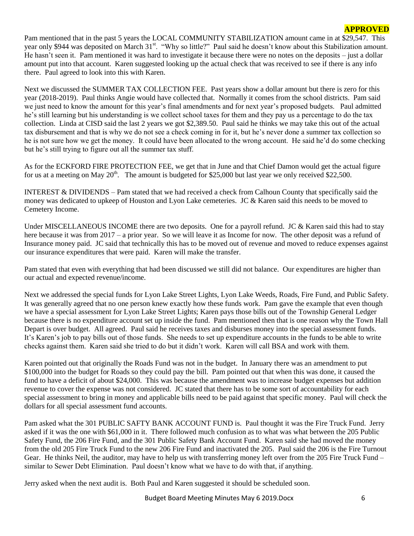Pam mentioned that in the past 5 years the LOCAL COMMUNITY STABILIZATION amount came in at \$29,547. This year only \$944 was deposited on March 31<sup>st</sup>. "Why so little?" Paul said he doesn't know about this Stabilization amount. He hasn't seen it. Pam mentioned it was hard to investigate it because there were no notes on the deposits – just a dollar amount put into that account. Karen suggested looking up the actual check that was received to see if there is any info there. Paul agreed to look into this with Karen.

Next we discussed the SUMMER TAX COLLECTION FEE. Past years show a dollar amount but there is zero for this year (2018-2019). Paul thinks Angie would have collected that. Normally it comes from the school districts. Pam said we just need to know the amount for this year's final amendments and for next year's proposed budgets. Paul admitted he's still learning but his understanding is we collect school taxes for them and they pay us a percentage to do the tax collection. Linda at CISD said the last 2 years we got \$2,389.50. Paul said he thinks we may take this out of the actual tax disbursement and that is why we do not see a check coming in for it, but he's never done a summer tax collection so he is not sure how we get the money. It could have been allocated to the wrong account. He said he'd do some checking but he's still trying to figure out all the summer tax stuff.

As for the ECKFORD FIRE PROTECTION FEE, we get that in June and that Chief Damon would get the actual figure for us at a meeting on May  $20^{th}$ . The amount is budgeted for \$25,000 but last year we only received \$22,500.

INTEREST & DIVIDENDS – Pam stated that we had received a check from Calhoun County that specifically said the money was dedicated to upkeep of Houston and Lyon Lake cemeteries. JC & Karen said this needs to be moved to Cemetery Income.

Under MISCELLANEOUS INCOME there are two deposits. One for a payroll refund. JC & Karen said this had to stay here because it was from 2017 – a prior year. So we will leave it as Income for now. The other deposit was a refund of Insurance money paid. JC said that technically this has to be moved out of revenue and moved to reduce expenses against our insurance expenditures that were paid. Karen will make the transfer.

Pam stated that even with everything that had been discussed we still did not balance. Our expenditures are higher than our actual and expected revenue/income.

Next we addressed the special funds for Lyon Lake Street Lights, Lyon Lake Weeds, Roads, Fire Fund, and Public Safety. It was generally agreed that no one person knew exactly how these funds work. Pam gave the example that even though we have a special assessment for Lyon Lake Street Lights; Karen pays those bills out of the Township General Ledger because there is no expenditure account set up inside the fund. Pam mentioned then that is one reason why the Town Hall Depart is over budget. All agreed. Paul said he receives taxes and disburses money into the special assessment funds. It's Karen's job to pay bills out of those funds. She needs to set up expenditure accounts in the funds to be able to write checks against them. Karen said she tried to do but it didn't work. Karen will call BSA and work with them.

Karen pointed out that originally the Roads Fund was not in the budget. In January there was an amendment to put \$100,000 into the budget for Roads so they could pay the bill. Pam pointed out that when this was done, it caused the fund to have a deficit of about \$24,000. This was because the amendment was to increase budget expenses but addition revenue to cover the expense was not considered. JC stated that there has to be some sort of accountability for each special assessment to bring in money and applicable bills need to be paid against that specific money. Paul will check the dollars for all special assessment fund accounts.

Pam asked what the 301 PUBLIC SAFTY BANK ACCOUNT FUND is. Paul thought it was the Fire Truck Fund. Jerry asked if it was the one with \$61,000 in it. There followed much confusion as to what was what between the 205 Public Safety Fund, the 206 Fire Fund, and the 301 Public Safety Bank Account Fund. Karen said she had moved the money from the old 205 Fire Truck Fund to the new 206 Fire Fund and inactivated the 205. Paul said the 206 is the Fire Turnout Gear. He thinks Neil, the auditor, may have to help us with transferring money left over from the 205 Fire Truck Fund – similar to Sewer Debt Elimination. Paul doesn't know what we have to do with that, if anything.

Jerry asked when the next audit is. Both Paul and Karen suggested it should be scheduled soon.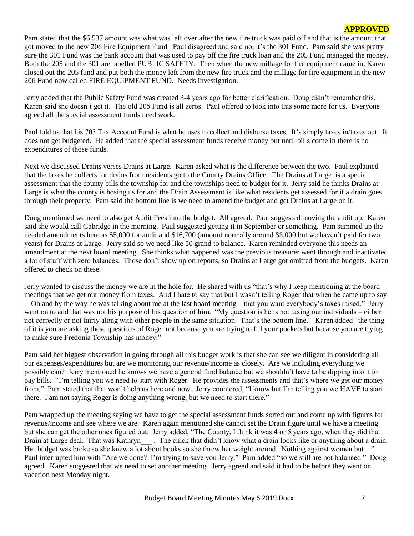Pam stated that the \$6,537 amount was what was left over after the new fire truck was paid off and that is the amount that got moved to the new 206 Fire Equipment Fund. Paul disagreed and said no, it's the 301 Fund. Pam said she was pretty sure the 301 Fund was the bank account that was used to pay off the fire truck loan and the 205 Fund managed the money. Both the 205 and the 301 are labelled PUBLIC SAFETY. Then when the new millage for fire equipment came in, Karen closed out the 205 fund and put both the money left from the new fire truck and the millage for fire equipment in the new 206 Fund now called FIRE EQUIPMENT FUND. Needs investigation.

Jerry added that the Public Safety Fund was created 3-4 years ago for better clarification. Doug didn't remember this. Karen said she doesn't get it. The old 205 Fund is all zeros. Paul offered to look into this some more for us. Everyone agreed all the special assessment funds need work.

Paul told us that his 703 Tax Account Fund is what he uses to collect and disburse taxes. It's simply taxes in/taxes out. It does not get budgeted. He added that the special assessment funds receive money but until bills come in there is no expenditures of those funds.

Next we discussed Drains verses Drains at Large. Karen asked what is the difference between the two. Paul explained that the taxes he collects for drains from residents go to the County Drains Office. The Drains at Large is a special assessment that the county bills the township for and the townships need to budget for it. Jerry said he thinks Drains at Large is what the county is hosing us for and the Drain Assessment is like what residents get assessed for if a drain goes through their property. Pam said the bottom line is we need to amend the budget and get Drains at Large on it.

Doug mentioned we need to also get Audit Fees into the budget. All agreed. Paul suggested moving the audit up. Karen said she would call Gabridge in the morning. Paul suggested getting it in September or something. Pam summed up the needed amendments here as \$5,000 for audit and \$16,700 (amount normally around \$8,000 but we haven't paid for two years) for Drains at Large. Jerry said so we need like 50 grand to balance. Karen reminded everyone this needs an amendment at the next board meeting. She thinks what happened was the previous treasurer went through and inactivated a lot of stuff with zero balances. Those don't show up on reports, so Drains at Large got omitted from the budgets. Karen offered to check on these.

Jerry wanted to discuss the money we are in the hole for. He shared with us "that's why I keep mentioning at the board meetings that we get our money from taxes. And I hate to say that but I wasn't telling Roger that when he came up to say -- Oh and by the way he was talking about me at the last board meeting – that you want everybody's taxes raised." Jerry went on to add that was not his purpose of his question of him. "My question is he is not taxing our individuals – either not correctly or not fairly along with other people in the same situation. That's the bottom line." Karen added "the thing of it is you are asking these questions of Roger not because you are trying to fill your pockets but because you are trying to make sure Fredonia Township has money."

Pam said her biggest observation in going through all this budget work is that she can see we diligent in considering all our expenses/expenditures but are we monitoring our revenue/income as closely. Are we including everything we possibly can? Jerry mentioned he knows we have a general fund balance but we shouldn't have to be dipping into it to pay bills. "I'm telling you we need to start with Roger. He provides the assessments and that's where we get our money from." Pam stated that that won't help us here and now. Jerry countered, "I know but I'm telling you we HAVE to start there. I am not saying Roger is doing anything wrong, but we need to start there."

Pam wrapped up the meeting saying we have to get the special assessment funds sorted out and come up with figures for revenue/income and see where we are. Karen again mentioned she cannot set the Drain figure until we have a meeting but she can get the other ones figured out. Jerry added, "The County, I think it was 4 or 5 years ago, when they did that Drain at Large deal. That was Kathryn . The chick that didn't know what a drain looks like or anything about a drain. Her budget was broke so she knew a lot about books so she threw her weight around. Nothing against women but..." Paul interrupted him with "Are we done? I'm trying to save you Jerry." Pam added "so we still are not balanced." Doug agreed. Karen suggested that we need to set another meeting. Jerry agreed and said it had to be before they went on vacation next Monday night.